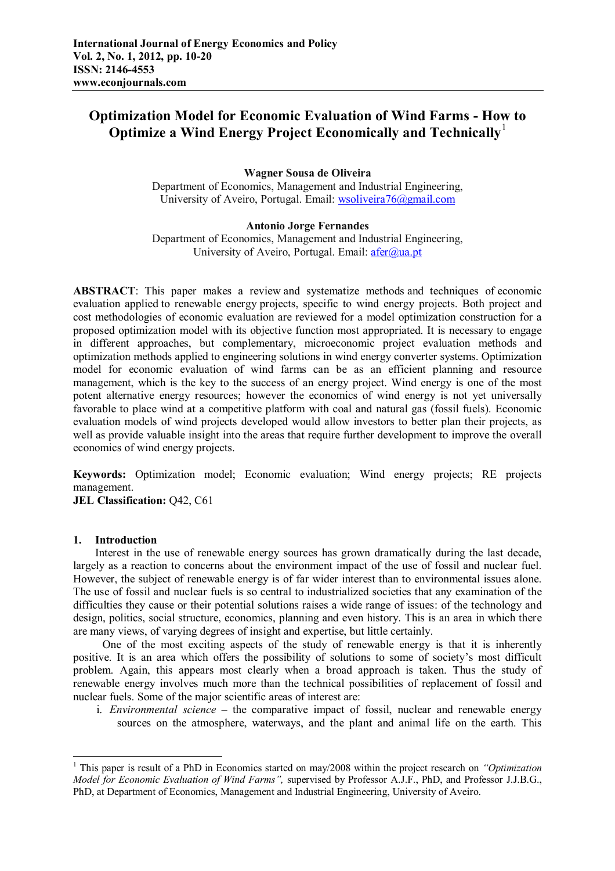# **Optimization Model for Economic Evaluation of Wind Farms - How to Optimize a Wind Energy Project Economically and Technically**<sup>1</sup>

## **Wagner Sousa de Oliveira**

Department of Economics, Management and Industrial Engineering, University of Aveiro, Portugal. Email: wsoliveira76@gmail.com

## **Antonio Jorge Fernandes**

Department of Economics, Management and Industrial Engineering, University of Aveiro, Portugal. Email:  $\text{afer}(a)$ ua.pt

**ABSTRACT**: This paper makes a review and systematize methods and techniques of economic evaluation applied to renewable energy projects, specific to wind energy projects. Both project and cost methodologies of economic evaluation are reviewed for a model optimization construction for a proposed optimization model with its objective function most appropriated. It is necessary to engage in different approaches, but complementary, microeconomic project evaluation methods and optimization methods applied to engineering solutions in wind energy converter systems. Optimization model for economic evaluation of wind farms can be as an efficient planning and resource management, which is the key to the success of an energy project. Wind energy is one of the most potent alternative energy resources; however the economics of wind energy is not yet universally favorable to place wind at a competitive platform with coal and natural gas (fossil fuels). Economic evaluation models of wind projects developed would allow investors to better plan their projects, as well as provide valuable insight into the areas that require further development to improve the overall economics of wind energy projects.

**Keywords:** Optimization model; Economic evaluation; Wind energy projects; RE projects management.

**JEL Classification:** Q42, C61

#### **1. Introduction**

 $\overline{a}$ 

Interest in the use of renewable energy sources has grown dramatically during the last decade, largely as a reaction to concerns about the environment impact of the use of fossil and nuclear fuel. However, the subject of renewable energy is of far wider interest than to environmental issues alone. The use of fossil and nuclear fuels is so central to industrialized societies that any examination of the difficulties they cause or their potential solutions raises a wide range of issues: of the technology and design, politics, social structure, economics, planning and even history. This is an area in which there are many views, of varying degrees of insight and expertise, but little certainly.

One of the most exciting aspects of the study of renewable energy is that it is inherently positive. It is an area which offers the possibility of solutions to some of society's most difficult problem. Again, this appears most clearly when a broad approach is taken. Thus the study of renewable energy involves much more than the technical possibilities of replacement of fossil and nuclear fuels. Some of the major scientific areas of interest are:

i. *Environmental science* – the comparative impact of fossil, nuclear and renewable energy sources on the atmosphere, waterways, and the plant and animal life on the earth. This

<sup>1</sup> This paper is result of a PhD in Economics started on may/2008 within the project research on *"Optimization Model for Economic Evaluation of Wind Farms",* supervised by Professor A.J.F., PhD, and Professor J.J.B.G., PhD, at Department of Economics, Management and Industrial Engineering, University of Aveiro.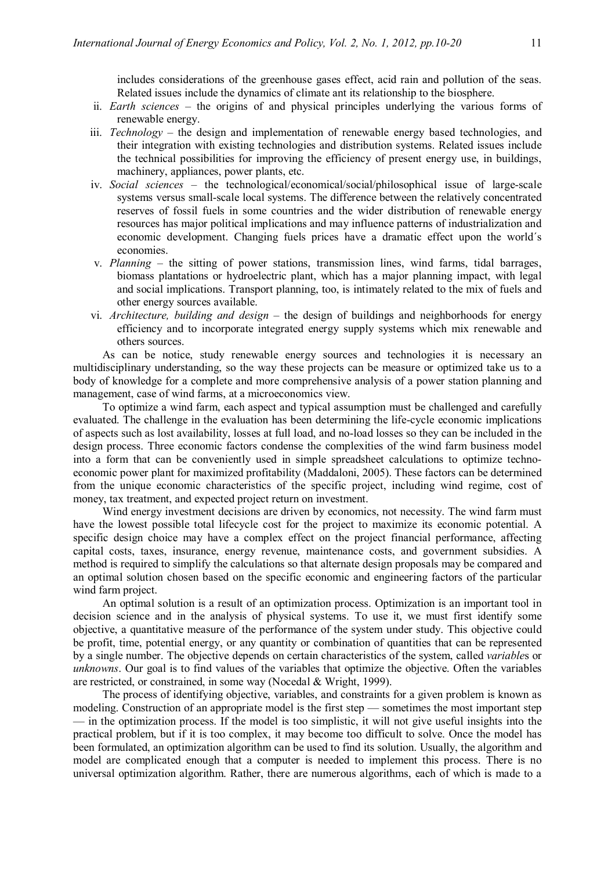includes considerations of the greenhouse gases effect, acid rain and pollution of the seas. Related issues include the dynamics of climate ant its relationship to the biosphere.

- ii. *Earth sciences* the origins of and physical principles underlying the various forms of renewable energy.
- iii. *Technology* the design and implementation of renewable energy based technologies, and their integration with existing technologies and distribution systems. Related issues include the technical possibilities for improving the efficiency of present energy use, in buildings, machinery, appliances, power plants, etc.
- iv. *Social sciences* the technological/economical/social/philosophical issue of large-scale systems versus small-scale local systems. The difference between the relatively concentrated reserves of fossil fuels in some countries and the wider distribution of renewable energy resources has major political implications and may influence patterns of industrialization and economic development. Changing fuels prices have a dramatic effect upon the world´s economies.
- v. *Planning*  the sitting of power stations, transmission lines, wind farms, tidal barrages, biomass plantations or hydroelectric plant, which has a major planning impact, with legal and social implications. Transport planning, too, is intimately related to the mix of fuels and other energy sources available.
- vi. *Architecture, building and design* the design of buildings and neighborhoods for energy efficiency and to incorporate integrated energy supply systems which mix renewable and others sources.

As can be notice, study renewable energy sources and technologies it is necessary an multidisciplinary understanding, so the way these projects can be measure or optimized take us to a body of knowledge for a complete and more comprehensive analysis of a power station planning and management, case of wind farms, at a microeconomics view.

To optimize a wind farm, each aspect and typical assumption must be challenged and carefully evaluated. The challenge in the evaluation has been determining the life-cycle economic implications of aspects such as lost availability, losses at full load, and no-load losses so they can be included in the design process. Three economic factors condense the complexities of the wind farm business model into a form that can be conveniently used in simple spreadsheet calculations to optimize technoeconomic power plant for maximized profitability (Maddaloni, 2005). These factors can be determined from the unique economic characteristics of the specific project, including wind regime, cost of money, tax treatment, and expected project return on investment.

Wind energy investment decisions are driven by economics, not necessity. The wind farm must have the lowest possible total lifecycle cost for the project to maximize its economic potential. A specific design choice may have a complex effect on the project financial performance, affecting capital costs, taxes, insurance, energy revenue, maintenance costs, and government subsidies. A method is required to simplify the calculations so that alternate design proposals may be compared and an optimal solution chosen based on the specific economic and engineering factors of the particular wind farm project.

An optimal solution is a result of an optimization process. Optimization is an important tool in decision science and in the analysis of physical systems. To use it, we must first identify some objective, a quantitative measure of the performance of the system under study. This objective could be profit, time, potential energy, or any quantity or combination of quantities that can be represented by a single number. The objective depends on certain characteristics of the system, called *variable*s or *unknowns*. Our goal is to find values of the variables that optimize the objective. Often the variables are restricted, or constrained, in some way (Nocedal & Wright, 1999).

The process of identifying objective, variables, and constraints for a given problem is known as modeling. Construction of an appropriate model is the first step — sometimes the most important step — in the optimization process. If the model is too simplistic, it will not give useful insights into the practical problem, but if it is too complex, it may become too difficult to solve. Once the model has been formulated, an optimization algorithm can be used to find its solution. Usually, the algorithm and model are complicated enough that a computer is needed to implement this process. There is no universal optimization algorithm. Rather, there are numerous algorithms, each of which is made to a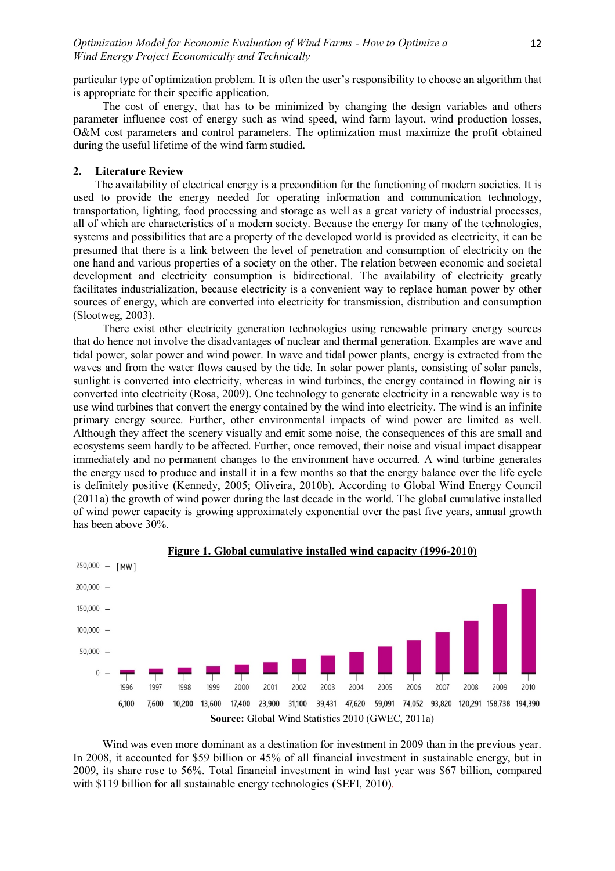12

particular type of optimization problem. It is often the user's responsibility to choose an algorithm that is appropriate for their specific application.

The cost of energy, that has to be minimized by changing the design variables and others parameter influence cost of energy such as wind speed, wind farm layout, wind production losses, O&M cost parameters and control parameters. The optimization must maximize the profit obtained during the useful lifetime of the wind farm studied.

#### **2. Literature Review**

The availability of electrical energy is a precondition for the functioning of modern societies. It is used to provide the energy needed for operating information and communication technology, transportation, lighting, food processing and storage as well as a great variety of industrial processes, all of which are characteristics of a modern society. Because the energy for many of the technologies, systems and possibilities that are a property of the developed world is provided as electricity, it can be presumed that there is a link between the level of penetration and consumption of electricity on the one hand and various properties of a society on the other. The relation between economic and societal development and electricity consumption is bidirectional. The availability of electricity greatly facilitates industrialization, because electricity is a convenient way to replace human power by other sources of energy, which are converted into electricity for transmission, distribution and consumption (Slootweg, 2003).

There exist other electricity generation technologies using renewable primary energy sources that do hence not involve the disadvantages of nuclear and thermal generation. Examples are wave and tidal power, solar power and wind power. In wave and tidal power plants, energy is extracted from the waves and from the water flows caused by the tide. In solar power plants, consisting of solar panels, sunlight is converted into electricity, whereas in wind turbines, the energy contained in flowing air is converted into electricity (Rosa, 2009). One technology to generate electricity in a renewable way is to use wind turbines that convert the energy contained by the wind into electricity. The wind is an infinite primary energy source. Further, other environmental impacts of wind power are limited as well. Although they affect the scenery visually and emit some noise, the consequences of this are small and ecosystems seem hardly to be affected. Further, once removed, their noise and visual impact disappear immediately and no permanent changes to the environment have occurred. A wind turbine generates the energy used to produce and install it in a few months so that the energy balance over the life cycle is definitely positive (Kennedy, 2005; Oliveira, 2010b). According to Global Wind Energy Council (2011a) the growth of wind power during the last decade in the world. The global cumulative installed of wind power capacity is growing approximately exponential over the past five years, annual growth has been above 30%.





Wind was even more dominant as a destination for investment in 2009 than in the previous year. In 2008, it accounted for \$59 billion or 45% of all financial investment in sustainable energy, but in 2009, its share rose to 56%. Total financial investment in wind last year was \$67 billion, compared with \$119 billion for all sustainable energy technologies (SEFI, 2010).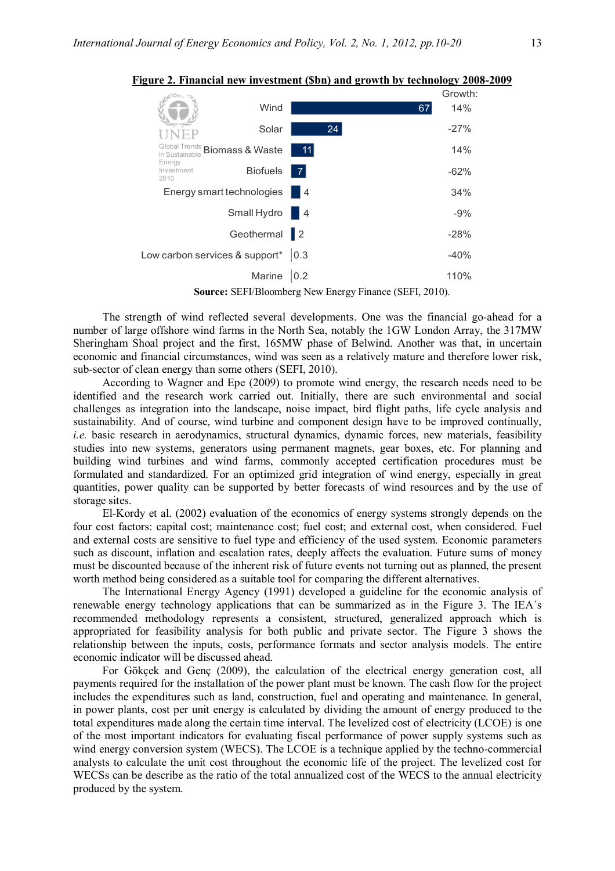

**Figure 2. Financial new investment (\$bn) and growth by technology 2008-2009** 

**Source:** SEFI/Bloomberg New Energy Finance (SEFI, 2010).

The strength of wind reflected several developments. One was the financial go-ahead for a number of large offshore wind farms in the North Sea, notably the 1GW London Array, the 317MW Sheringham Shoal project and the first, 165MW phase of Belwind. Another was that, in uncertain economic and financial circumstances, wind was seen as a relatively mature and therefore lower risk, sub-sector of clean energy than some others (SEFI, 2010).

According to Wagner and Epe (2009) to promote wind energy, the research needs need to be identified and the research work carried out. Initially, there are such environmental and social challenges as integration into the landscape, noise impact, bird flight paths, life cycle analysis and sustainability. And of course, wind turbine and component design have to be improved continually, *i.e.* basic research in aerodynamics, structural dynamics, dynamic forces, new materials, feasibility studies into new systems, generators using permanent magnets, gear boxes, etc. For planning and building wind turbines and wind farms, commonly accepted certification procedures must be formulated and standardized. For an optimized grid integration of wind energy, especially in great quantities, power quality can be supported by better forecasts of wind resources and by the use of storage sites.

El-Kordy et al. (2002) evaluation of the economics of energy systems strongly depends on the four cost factors: capital cost; maintenance cost; fuel cost; and external cost, when considered. Fuel and external costs are sensitive to fuel type and efficiency of the used system. Economic parameters such as discount, inflation and escalation rates, deeply affects the evaluation. Future sums of money must be discounted because of the inherent risk of future events not turning out as planned, the present worth method being considered as a suitable tool for comparing the different alternatives.

The International Energy Agency (1991) developed a guideline for the economic analysis of renewable energy technology applications that can be summarized as in the Figure 3. The IEA´s recommended methodology represents a consistent, structured, generalized approach which is appropriated for feasibility analysis for both public and private sector. The Figure 3 shows the relationship between the inputs, costs, performance formats and sector analysis models. The entire economic indicator will be discussed ahead.

For Gökçek and Genç (2009), the calculation of the electrical energy generation cost, all payments required for the installation of the power plant must be known. The cash flow for the project includes the expenditures such as land, construction, fuel and operating and maintenance. In general, in power plants, cost per unit energy is calculated by dividing the amount of energy produced to the total expenditures made along the certain time interval. The levelized cost of electricity (LCOE) is one of the most important indicators for evaluating fiscal performance of power supply systems such as wind energy conversion system (WECS). The LCOE is a technique applied by the techno-commercial analysts to calculate the unit cost throughout the economic life of the project. The levelized cost for WECSs can be describe as the ratio of the total annualized cost of the WECS to the annual electricity produced by the system.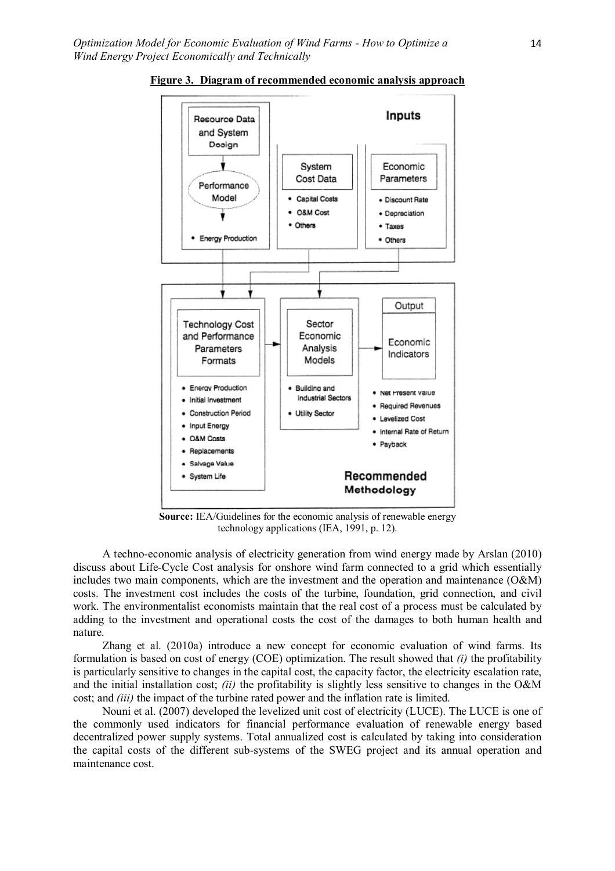

**Figure 3. Diagram of recommended economic analysis approach**

**Source:** IEA/Guidelines for the economic analysis of renewable energy technology applications (IEA, 1991, p. 12).

A techno-economic analysis of electricity generation from wind energy made by Arslan (2010) discuss about Life-Cycle Cost analysis for onshore wind farm connected to a grid which essentially includes two main components, which are the investment and the operation and maintenance (O&M) costs. The investment cost includes the costs of the turbine, foundation, grid connection, and civil work. The environmentalist economists maintain that the real cost of a process must be calculated by adding to the investment and operational costs the cost of the damages to both human health and nature.

Zhang et al. (2010a) introduce a new concept for economic evaluation of wind farms. Its formulation is based on cost of energy (COE) optimization. The result showed that *(i)* the profitability is particularly sensitive to changes in the capital cost, the capacity factor, the electricity escalation rate, and the initial installation cost; *(ii)* the profitability is slightly less sensitive to changes in the O&M cost; and *(iii)* the impact of the turbine rated power and the inflation rate is limited.

Nouni et al. (2007) developed the levelized unit cost of electricity (LUCE). The LUCE is one of the commonly used indicators for financial performance evaluation of renewable energy based decentralized power supply systems. Total annualized cost is calculated by taking into consideration the capital costs of the different sub-systems of the SWEG project and its annual operation and maintenance cost.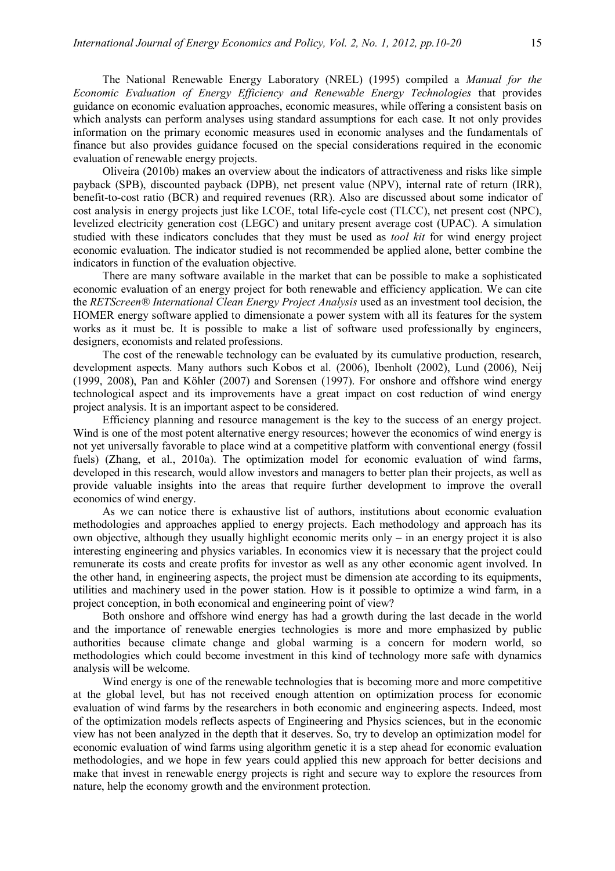The National Renewable Energy Laboratory (NREL) (1995) compiled a *Manual for the Economic Evaluation of Energy Efficiency and Renewable Energy Technologies* that provides guidance on economic evaluation approaches, economic measures, while offering a consistent basis on which analysts can perform analyses using standard assumptions for each case. It not only provides information on the primary economic measures used in economic analyses and the fundamentals of finance but also provides guidance focused on the special considerations required in the economic evaluation of renewable energy projects.

Oliveira (2010b) makes an overview about the indicators of attractiveness and risks like simple payback (SPB), discounted payback (DPB), net present value (NPV), internal rate of return (IRR), benefit-to-cost ratio (BCR) and required revenues (RR). Also are discussed about some indicator of cost analysis in energy projects just like LCOE, total life-cycle cost (TLCC), net present cost (NPC), levelized electricity generation cost (LEGC) and unitary present average cost (UPAC). A simulation studied with these indicators concludes that they must be used as *tool kit* for wind energy project economic evaluation. The indicator studied is not recommended be applied alone, better combine the indicators in function of the evaluation objective.

There are many software available in the market that can be possible to make a sophisticated economic evaluation of an energy project for both renewable and efficiency application. We can cite the *RETScreen® International Clean Energy Project Analysis* used as an investment tool decision, the HOMER energy software applied to dimensionate a power system with all its features for the system works as it must be. It is possible to make a list of software used professionally by engineers, designers, economists and related professions.

The cost of the renewable technology can be evaluated by its cumulative production, research, development aspects. Many authors such Kobos et al. (2006), Ibenholt (2002), Lund (2006), Neij (1999, 2008), Pan and Köhler (2007) and Sorensen (1997). For onshore and offshore wind energy technological aspect and its improvements have a great impact on cost reduction of wind energy project analysis. It is an important aspect to be considered.

Efficiency planning and resource management is the key to the success of an energy project. Wind is one of the most potent alternative energy resources; however the economics of wind energy is not yet universally favorable to place wind at a competitive platform with conventional energy (fossil fuels) (Zhang, et al., 2010a). The optimization model for economic evaluation of wind farms, developed in this research, would allow investors and managers to better plan their projects, as well as provide valuable insights into the areas that require further development to improve the overall economics of wind energy.

As we can notice there is exhaustive list of authors, institutions about economic evaluation methodologies and approaches applied to energy projects. Each methodology and approach has its own objective, although they usually highlight economic merits only – in an energy project it is also interesting engineering and physics variables. In economics view it is necessary that the project could remunerate its costs and create profits for investor as well as any other economic agent involved. In the other hand, in engineering aspects, the project must be dimension ate according to its equipments, utilities and machinery used in the power station. How is it possible to optimize a wind farm, in a project conception, in both economical and engineering point of view?

Both onshore and offshore wind energy has had a growth during the last decade in the world and the importance of renewable energies technologies is more and more emphasized by public authorities because climate change and global warming is a concern for modern world, so methodologies which could become investment in this kind of technology more safe with dynamics analysis will be welcome.

Wind energy is one of the renewable technologies that is becoming more and more competitive at the global level, but has not received enough attention on optimization process for economic evaluation of wind farms by the researchers in both economic and engineering aspects. Indeed, most of the optimization models reflects aspects of Engineering and Physics sciences, but in the economic view has not been analyzed in the depth that it deserves. So, try to develop an optimization model for economic evaluation of wind farms using algorithm genetic it is a step ahead for economic evaluation methodologies, and we hope in few years could applied this new approach for better decisions and make that invest in renewable energy projects is right and secure way to explore the resources from nature, help the economy growth and the environment protection.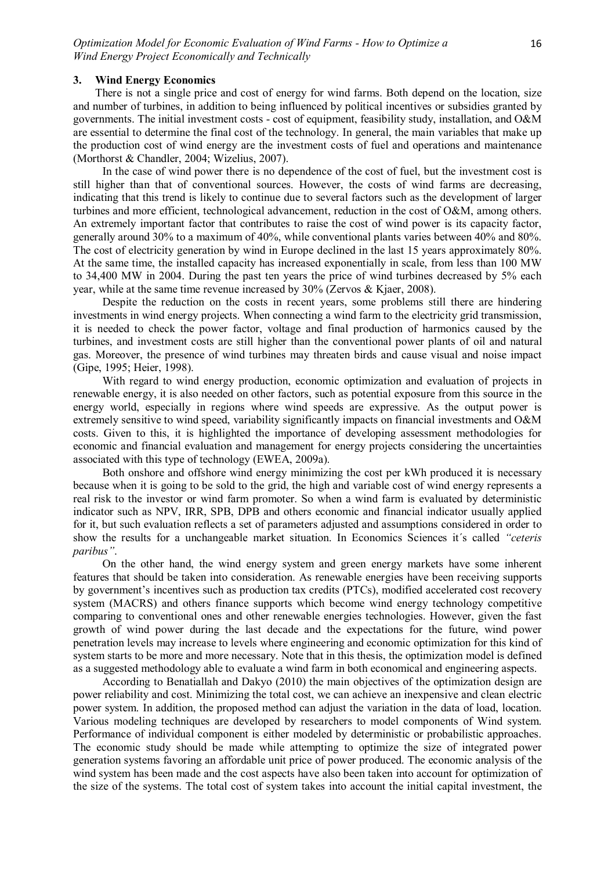#### **3. Wind Energy Economics**

There is not a single price and cost of energy for wind farms. Both depend on the location, size and number of turbines, in addition to being influenced by political incentives or subsidies granted by governments. The initial investment costs - cost of equipment, feasibility study, installation, and O&M are essential to determine the final cost of the technology. In general, the main variables that make up the production cost of wind energy are the investment costs of fuel and operations and maintenance (Morthorst & Chandler, 2004; Wizelius, 2007).

In the case of wind power there is no dependence of the cost of fuel, but the investment cost is still higher than that of conventional sources. However, the costs of wind farms are decreasing, indicating that this trend is likely to continue due to several factors such as the development of larger turbines and more efficient, technological advancement, reduction in the cost of O&M, among others. An extremely important factor that contributes to raise the cost of wind power is its capacity factor, generally around 30% to a maximum of 40%, while conventional plants varies between 40% and 80%. The cost of electricity generation by wind in Europe declined in the last 15 years approximately 80%. At the same time, the installed capacity has increased exponentially in scale, from less than 100 MW to 34,400 MW in 2004. During the past ten years the price of wind turbines decreased by 5% each year, while at the same time revenue increased by 30% (Zervos & Kjaer, 2008).

Despite the reduction on the costs in recent years, some problems still there are hindering investments in wind energy projects. When connecting a wind farm to the electricity grid transmission, it is needed to check the power factor, voltage and final production of harmonics caused by the turbines, and investment costs are still higher than the conventional power plants of oil and natural gas. Moreover, the presence of wind turbines may threaten birds and cause visual and noise impact (Gipe, 1995; Heier, 1998).

With regard to wind energy production, economic optimization and evaluation of projects in renewable energy, it is also needed on other factors, such as potential exposure from this source in the energy world, especially in regions where wind speeds are expressive. As the output power is extremely sensitive to wind speed, variability significantly impacts on financial investments and O&M costs. Given to this, it is highlighted the importance of developing assessment methodologies for economic and financial evaluation and management for energy projects considering the uncertainties associated with this type of technology (EWEA, 2009a).

Both onshore and offshore wind energy minimizing the cost per kWh produced it is necessary because when it is going to be sold to the grid, the high and variable cost of wind energy represents a real risk to the investor or wind farm promoter. So when a wind farm is evaluated by deterministic indicator such as NPV, IRR, SPB, DPB and others economic and financial indicator usually applied for it, but such evaluation reflects a set of parameters adjusted and assumptions considered in order to show the results for a unchangeable market situation. In Economics Sciences it´s called *"ceteris paribus"*.

On the other hand, the wind energy system and green energy markets have some inherent features that should be taken into consideration. As renewable energies have been receiving supports by government's incentives such as production tax credits (PTCs), modified accelerated cost recovery system (MACRS) and others finance supports which become wind energy technology competitive comparing to conventional ones and other renewable energies technologies. However, given the fast growth of wind power during the last decade and the expectations for the future, wind power penetration levels may increase to levels where engineering and economic optimization for this kind of system starts to be more and more necessary. Note that in this thesis, the optimization model is defined as a suggested methodology able to evaluate a wind farm in both economical and engineering aspects.

According to Benatiallah and Dakyo (2010) the main objectives of the optimization design are power reliability and cost. Minimizing the total cost, we can achieve an inexpensive and clean electric power system. In addition, the proposed method can adjust the variation in the data of load, location. Various modeling techniques are developed by researchers to model components of Wind system. Performance of individual component is either modeled by deterministic or probabilistic approaches. The economic study should be made while attempting to optimize the size of integrated power generation systems favoring an affordable unit price of power produced. The economic analysis of the wind system has been made and the cost aspects have also been taken into account for optimization of the size of the systems. The total cost of system takes into account the initial capital investment, the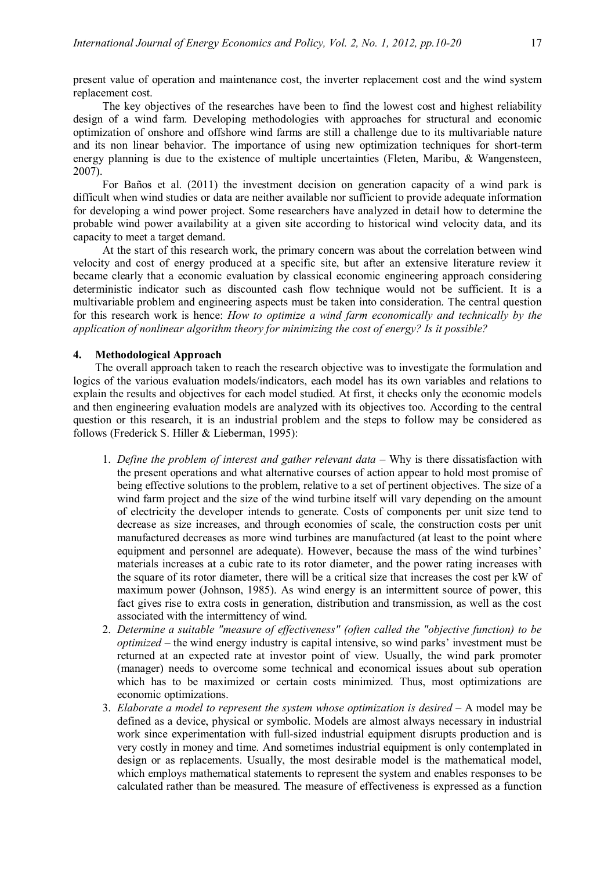present value of operation and maintenance cost, the inverter replacement cost and the wind system replacement cost.

The key objectives of the researches have been to find the lowest cost and highest reliability design of a wind farm. Developing methodologies with approaches for structural and economic optimization of onshore and offshore wind farms are still a challenge due to its multivariable nature and its non linear behavior. The importance of using new optimization techniques for short-term energy planning is due to the existence of multiple uncertainties (Fleten, Maribu, & Wangensteen, 2007).

For Baños et al. (2011) the investment decision on generation capacity of a wind park is difficult when wind studies or data are neither available nor sufficient to provide adequate information for developing a wind power project. Some researchers have analyzed in detail how to determine the probable wind power availability at a given site according to historical wind velocity data, and its capacity to meet a target demand.

At the start of this research work, the primary concern was about the correlation between wind velocity and cost of energy produced at a specific site, but after an extensive literature review it became clearly that a economic evaluation by classical economic engineering approach considering deterministic indicator such as discounted cash flow technique would not be sufficient. It is a multivariable problem and engineering aspects must be taken into consideration. The central question for this research work is hence: *How to optimize a wind farm economically and technically by the application of nonlinear algorithm theory for minimizing the cost of energy? Is it possible?* 

#### **4. Methodological Approach**

The overall approach taken to reach the research objective was to investigate the formulation and logics of the various evaluation models/indicators, each model has its own variables and relations to explain the results and objectives for each model studied. At first, it checks only the economic models and then engineering evaluation models are analyzed with its objectives too. According to the central question or this research, it is an industrial problem and the steps to follow may be considered as follows (Frederick S. Hiller & Lieberman, 1995):

- 1. *Define the problem of interest and gather relevant data* Why is there dissatisfaction with the present operations and what alternative courses of action appear to hold most promise of being effective solutions to the problem, relative to a set of pertinent objectives. The size of a wind farm project and the size of the wind turbine itself will vary depending on the amount of electricity the developer intends to generate. Costs of components per unit size tend to decrease as size increases, and through economies of scale, the construction costs per unit manufactured decreases as more wind turbines are manufactured (at least to the point where equipment and personnel are adequate). However, because the mass of the wind turbines' materials increases at a cubic rate to its rotor diameter, and the power rating increases with the square of its rotor diameter, there will be a critical size that increases the cost per kW of maximum power (Johnson, 1985). As wind energy is an intermittent source of power, this fact gives rise to extra costs in generation, distribution and transmission, as well as the cost associated with the intermittency of wind.
- 2. *Determine a suitable "measure of effectiveness" (often called the "objective function) to be optimized* – the wind energy industry is capital intensive, so wind parks' investment must be returned at an expected rate at investor point of view. Usually, the wind park promoter (manager) needs to overcome some technical and economical issues about sub operation which has to be maximized or certain costs minimized. Thus, most optimizations are economic optimizations.
- 3. *Elaborate a model to represent the system whose optimization is desired* A model may be defined as a device, physical or symbolic. Models are almost always necessary in industrial work since experimentation with full-sized industrial equipment disrupts production and is very costly in money and time. And sometimes industrial equipment is only contemplated in design or as replacements. Usually, the most desirable model is the mathematical model, which employs mathematical statements to represent the system and enables responses to be calculated rather than be measured. The measure of effectiveness is expressed as a function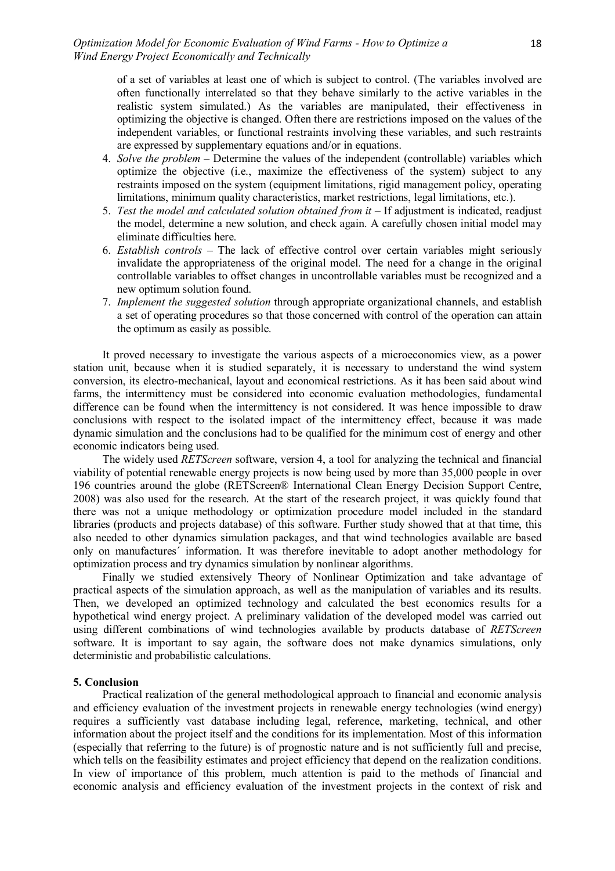of a set of variables at least one of which is subject to control. (The variables involved are often functionally interrelated so that they behave similarly to the active variables in the realistic system simulated.) As the variables are manipulated, their effectiveness in optimizing the objective is changed. Often there are restrictions imposed on the values of the independent variables, or functional restraints involving these variables, and such restraints are expressed by supplementary equations and/or in equations.

- 4. *Solve the problem*  Determine the values of the independent (controllable) variables which optimize the objective (i.e., maximize the effectiveness of the system) subject to any restraints imposed on the system (equipment limitations, rigid management policy, operating limitations, minimum quality characteristics, market restrictions, legal limitations, etc.).
- 5. *Test the model and calculated solution obtained from it* If adjustment is indicated, readjust the model, determine a new solution, and check again. A carefully chosen initial model may eliminate difficulties here.
- 6. *Establish controls* The lack of effective control over certain variables might seriously invalidate the appropriateness of the original model. The need for a change in the original controllable variables to offset changes in uncontrollable variables must be recognized and a new optimum solution found.
- 7. *Implement the suggested solution* through appropriate organizational channels, and establish a set of operating procedures so that those concerned with control of the operation can attain the optimum as easily as possible.

It proved necessary to investigate the various aspects of a microeconomics view, as a power station unit, because when it is studied separately, it is necessary to understand the wind system conversion, its electro-mechanical, layout and economical restrictions. As it has been said about wind farms, the intermittency must be considered into economic evaluation methodologies, fundamental difference can be found when the intermittency is not considered. It was hence impossible to draw conclusions with respect to the isolated impact of the intermittency effect, because it was made dynamic simulation and the conclusions had to be qualified for the minimum cost of energy and other economic indicators being used.

The widely used *RETScreen* software, version 4, a tool for analyzing the technical and financial viability of potential renewable energy projects is now being used by more than 35,000 people in over 196 countries around the globe (RETScreen® International Clean Energy Decision Support Centre, 2008) was also used for the research. At the start of the research project, it was quickly found that there was not a unique methodology or optimization procedure model included in the standard libraries (products and projects database) of this software. Further study showed that at that time, this also needed to other dynamics simulation packages, and that wind technologies available are based only on manufactures´ information. It was therefore inevitable to adopt another methodology for optimization process and try dynamics simulation by nonlinear algorithms.

Finally we studied extensively Theory of Nonlinear Optimization and take advantage of practical aspects of the simulation approach, as well as the manipulation of variables and its results. Then, we developed an optimized technology and calculated the best economics results for a hypothetical wind energy project. A preliminary validation of the developed model was carried out using different combinations of wind technologies available by products database of *RETScreen* software. It is important to say again, the software does not make dynamics simulations, only deterministic and probabilistic calculations.

#### **5. Conclusion**

Practical realization of the general methodological approach to financial and economic analysis and efficiency evaluation of the investment projects in renewable energy technologies (wind energy) requires a sufficiently vast database including legal, reference, marketing, technical, and other information about the project itself and the conditions for its implementation. Most of this information (especially that referring to the future) is of prognostic nature and is not sufficiently full and precise, which tells on the feasibility estimates and project efficiency that depend on the realization conditions. In view of importance of this problem, much attention is paid to the methods of financial and economic analysis and efficiency evaluation of the investment projects in the context of risk and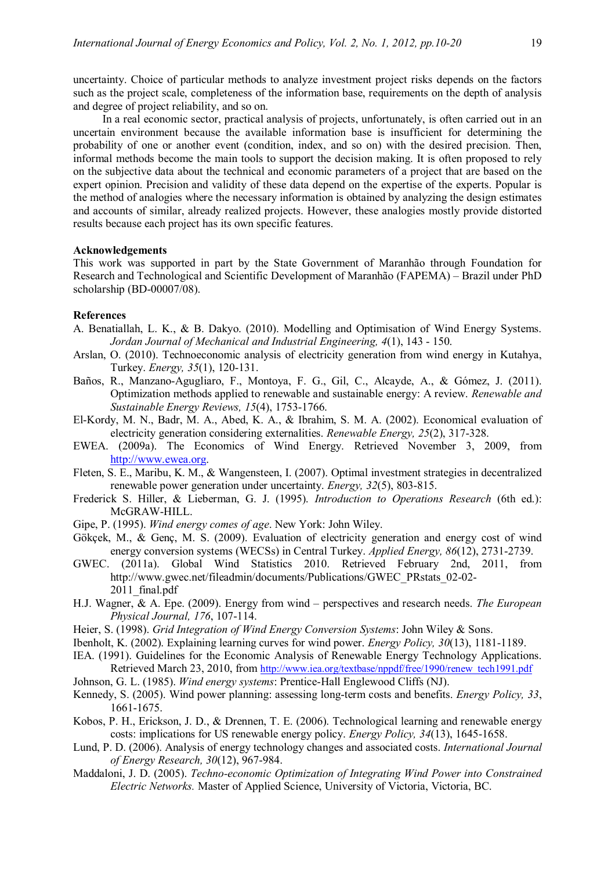uncertainty. Choice of particular methods to analyze investment project risks depends on the factors such as the project scale, completeness of the information base, requirements on the depth of analysis and degree of project reliability, and so on.

In a real economic sector, practical analysis of projects, unfortunately, is often carried out in an uncertain environment because the available information base is insufficient for determining the probability of one or another event (condition, index, and so on) with the desired precision. Then, informal methods become the main tools to support the decision making. It is often proposed to rely on the subjective data about the technical and economic parameters of a project that are based on the expert opinion. Precision and validity of these data depend on the expertise of the experts. Popular is the method of analogies where the necessary information is obtained by analyzing the design estimates and accounts of similar, already realized projects. However, these analogies mostly provide distorted results because each project has its own specific features.

### **Acknowledgements**

This work was supported in part by the State Government of Maranhão through Foundation for Research and Technological and Scientific Development of Maranhão (FAPEMA) – Brazil under PhD scholarship (BD-00007/08).

#### **References**

- A. Benatiallah, L. K., & B. Dakyo. (2010). Modelling and Optimisation of Wind Energy Systems. *Jordan Journal of Mechanical and Industrial Engineering, 4*(1), 143 - 150.
- Arslan, O. (2010). Technoeconomic analysis of electricity generation from wind energy in Kutahya, Turkey. *Energy, 35*(1), 120-131.
- Baños, R., Manzano-Agugliaro, F., Montoya, F. G., Gil, C., Alcayde, A., & Gómez, J. (2011). Optimization methods applied to renewable and sustainable energy: A review. *Renewable and Sustainable Energy Reviews, 15*(4), 1753-1766.
- El-Kordy, M. N., Badr, M. A., Abed, K. A., & Ibrahim, S. M. A. (2002). Economical evaluation of electricity generation considering externalities. *Renewable Energy, 25*(2), 317-328.
- EWEA. (2009a). The Economics of Wind Energy. Retrieved November 3, 2009, from http://www.ewea.org.
- Fleten, S. E., Maribu, K. M., & Wangensteen, I. (2007). Optimal investment strategies in decentralized renewable power generation under uncertainty. *Energy, 32*(5), 803-815.
- Frederick S. Hiller, & Lieberman, G. J. (1995). *Introduction to Operations Research* (6th ed.): McGRAW-HILL.
- Gipe, P. (1995). *Wind energy comes of age*. New York: John Wiley.
- Gökçek, M., & Genç, M. S. (2009). Evaluation of electricity generation and energy cost of wind energy conversion systems (WECSs) in Central Turkey. *Applied Energy, 86*(12), 2731-2739.
- GWEC. (2011a). Global Wind Statistics 2010. Retrieved February 2nd, 2011, from http://www.gwec.net/fileadmin/documents/Publications/GWEC\_PRstats\_02-02- 2011 final.pdf
- H.J. Wagner, & A. Epe. (2009). Energy from wind perspectives and research needs. *The European Physical Journal, 176*, 107-114.
- Heier, S. (1998). *Grid Integration of Wind Energy Conversion Systems*: John Wiley & Sons.
- Ibenholt, K. (2002). Explaining learning curves for wind power. *Energy Policy, 30*(13), 1181-1189.
- IEA. (1991). Guidelines for the Economic Analysis of Renewable Energy Technology Applications. Retrieved March 23, 2010, from http://www.iea.org/textbase/nppdf/free/1990/renew\_tech1991.pdf
- Johnson, G. L. (1985). *Wind energy systems*: Prentice-Hall Englewood Cliffs (NJ).
- Kennedy, S. (2005). Wind power planning: assessing long-term costs and benefits. *Energy Policy, 33*, 1661-1675.
- Kobos, P. H., Erickson, J. D., & Drennen, T. E. (2006). Technological learning and renewable energy costs: implications for US renewable energy policy. *Energy Policy, 34*(13), 1645-1658.
- Lund, P. D. (2006). Analysis of energy technology changes and associated costs. *International Journal of Energy Research, 30*(12), 967-984.
- Maddaloni, J. D. (2005). *Techno-economic Optimization of Integrating Wind Power into Constrained Electric Networks.* Master of Applied Science, University of Victoria, Victoria, BC.